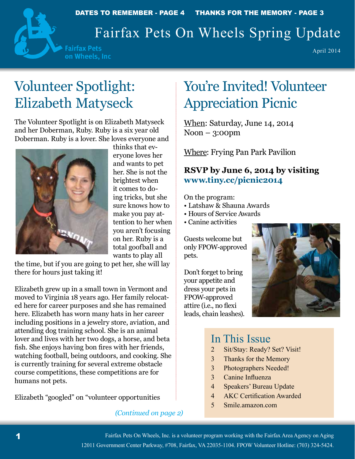

DATES TO REMEMBER - PAGE 4 THANKS FOR THE MEMORY - PAGE 3

# Fairfax Pets On Wheels Spring Update

**Fairfax Pets** on Wheels, Inc

April 2014

# Volunteer Spotlight: Elizabeth Matyseck

The Volunteer Spotlight is on Elizabeth Matyseck and her Doberman, Ruby. Ruby is a six year old Doberman. Ruby is a lover. She loves everyone and



thinks that everyone loves her and wants to pet her. She is not the brightest when it comes to doing tricks, but she sure knows how to make you pay attention to her when you aren't focusing on her. Ruby is a total goofball and wants to play all

the time, but if you are going to pet her, she will lay there for hours just taking it!

Elizabeth grew up in a small town in Vermont and moved to Virginia 18 years ago. Her family relocated here for career purposes and she has remained here. Elizabeth has worn many hats in her career including positions in a jewelry store, aviation, and attending dog training school. She is an animal lover and lives with her two dogs, a horse, and beta fish. She enjoys having bon fires with her friends, watching football, being outdoors, and cooking. She is currently training for several extreme obstacle course competitions, these competitions are for humans not pets.

Elizabeth "googled" on "volunteer opportunities

#### *(Continued on page 2)*

# You're Invited! Volunteer Appreciation Picnic

When: Saturday, June 14, 2014 Noon – 3:00pm

Where: Frying Pan Park Pavilion

### **RSVP by June 6, 2014 by visiting www.tiny.cc/picnic2014**

On the program:

- Latshaw & Shauna Awards
- Hours of Service Awards
- Canine activities

Guests welcome but only FPOW-approved pets.

Don't forget to bring your appetite and dress your pets in FPOW-approved attire (i.e., no flexi leads, chain leashes).



### In This Issue

- 2 Sit/Stay: Ready? Set? Visit!
- 3 Thanks for the Memory
- 3 Photographers Needed!
- 3 Canine Influenza
- 4 Speakers' Bureau Update
- 4 AKC Certification Awarded
- 5 Smile.amazon.com

Fairfax Pets On Wheels, Inc. is a volunteer program working with the Fairfax Area Agency on Aging 12011 Government Center Parkway, #708, Fairfax, VA 22035-1104. FPOW Volunteer Hotline: (703) 324-5424.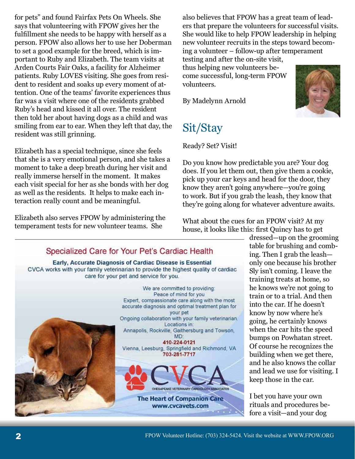for pets" and found Fairfax Pets On Wheels. She says that volunteering with FPOW gives her the fulfillment she needs to be happy with herself as a person. FPOW also allows her to use her Doberman to set a good example for the breed, which is important to Ruby and Elizabeth. The team visits at Arden Courts Fair Oaks, a facility for Alzheimer patients. Ruby LOVES visiting. She goes from resident to resident and soaks up every moment of attention. One of the teams' favorite experiences thus far was a visit where one of the residents grabbed Ruby's head and kissed it all over. The resident then told her about having dogs as a child and was smiling from ear to ear. When they left that day, the resident was still grinning.

Elizabeth has a special technique, since she feels that she is a very emotional person, and she takes a moment to take a deep breath during her visit and really immerse herself in the moment. It makes each visit special for her as she bonds with her dog as well as the residents. It helps to make each interaction really count and be meaningful.

Elizabeth also serves FPOW by administering the temperament tests for new volunteer teams. She

also believes that FPOW has a great team of leaders that prepare the volunteers for successful visits. She would like to help FPOW leadership in helping new volunteer recruits in the steps toward becoming a volunteer – follow-up after temperament testing and after the on-site visit, thus helping new volunteers become successful, long-term FPOW volunteers.

By Madelynn Arnold

## Sit/Stay

#### Ready? Set? Visit!

Do you know how predictable you are? Your dog does. If you let them out, then give them a cookie, pick up your car keys and head for the door, they know they aren't going anywhere—you're going to work. But if you grab the leash, they know that they're going along for whatever adventure awaits.

What about the cues for an FPOW visit? At my house, it looks like this: first Quincy has to get

dressed—up on the grooming table for brushing and combing. Then I grab the leash only one because his brother Sly isn't coming. I leave the training treats at home, so he knows we're not going to train or to a trial. And then into the car. If he doesn't know by now where he's going, he certainly knows when the car hits the speed bumps on Powhatan street. Of course he recognizes the building when we get there, and he also knows the collar and lead we use for visiting. I keep those in the car.

I bet you have your own rituals and procedures before a visit—and your dog

#### accurate diagnosis and optimal treatment plan for your pet Ongoing collaboration with your family veterinarian. Locations in: Annapolis, Rockville, Gaithersburg and Towson, MD: 410-224-0121 Vienna, Leesburg, Springfield and Richmond, VA 703-281-7717 CHESAPEAKE VETERINARY CARDIOLOGY AS **OCIATES**

Specialized Care for Your Pet's Cardiac Health Early, Accurate Diagnosis of Cardiac Disease is Essential CVCA works with your family veterinarian to provide the highest quality of cardiac care for your pet and service for you.

> **The Heart of Companion Care** www.cvcavets.com

We are committed to providing: Peace of mind for you Expert, compassionate care along with the most



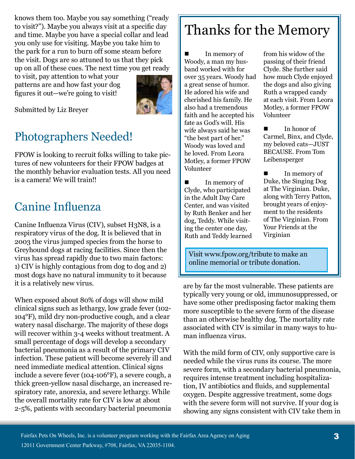knows them too. Maybe you say something ("ready to visit?"). Maybe you always visit at a specific day and time. Maybe you have a special collar and lead you only use for visiting. Maybe you take him to the park for a run to burn off some steam before the visit. Dogs are so attuned to us that they pick up on all of these cues. The next time you get ready

to visit, pay attention to what your patterns are and how fast your dog figures it out—we're going to visit!



Submitted by Liz Breyer

## Photographers Needed!

FPOW is looking to recruit folks willing to take pictures of new volunteers for their FPOW badges at the monthly behavior evaluation tests. All you need is a camera! We will train!!

### Canine Influenza

Canine Influenza Virus (CIV), subset H3N8, is a respiratory virus of the dog. It is believed that in 2003 the virus jumped species from the horse to Greyhound dogs at racing facilities. Since then the virus has spread rapidly due to two main factors: 1) CIV is highly contagious from dog to dog and 2) most dogs have no natural immunity to it because it is a relatively new virus.

When exposed about 80% of dogs will show mild clinical signs such as lethargy, low grade fever (102- 104°F), mild dry non-productive cough, and a clear watery nasal discharge. The majority of these dogs will recover within 3-4 weeks without treatment. A small percentage of dogs will develop a secondary bacterial pneumonia as a result of the primary CIV infection. These patient will become severely ill and need immediate medical attention. Clinical signs include a severe fever (104-106°F), a severe cough, a thick green-yellow nasal discharge, an increased respiratory rate, anorexia, and severe lethargy. While the overall mortality rate for CIV is low at about 2-5%, patients with secondary bacterial pneumonia

# Thanks for the Memory

 In memory of Woody, a man my husband worked with for over 35 years. Woody had a great sense of humor. He adored his wife and cherished his family. He also had a tremendous faith and he accepted his fate as God's will. His wife always said he was "the best part of her." Woody was loved and he loved. From Leora Motley, a former FPOW Volunteer

 In memory of Clyde, who participated in the Adult Day Care Center, and was visited by Ruth Benker and her dog, Teddy. While visiting the center one day, Ruth and Teddy learned from his widow of the passing of their friend Clyde. She further said how much Clyde enjoyed the dogs and also giving Ruth a wrapped candy at each visit. From Leora Motley, a former FPOW Volunteer

In honor of Carmel, Binx, and Clyde, my beloved cats—JUST BECAUSE. From Tom Leibensperger

In memory of Duke, the Singing Dog at The Virginian. Duke, along with Terry Patton, brought years of enjoyment to the residents of The Virginian. From Your Friends at the Virginian

Visit www.fpow.org/tribute to make an online memorial or tribute donation.

are by far the most vulnerable. These patients are typically very young or old, immunosuppressed, or have some other predisposing factor making them more susceptible to the severe form of the disease than an otherwise healthy dog. The mortality rate associated with CIV is similar in many ways to human influenza virus.

With the mild form of CIV, only supportive care is needed while the virus runs its course. The more severe form, with a secondary bacterial pneumonia, requires intense treatment including hospitalization, IV antibiotics and fluids, and supplemental oxygen. Despite aggressive treatment, some dogs with the severe form will not survive. If your dog is showing any signs consistent with CIV take them in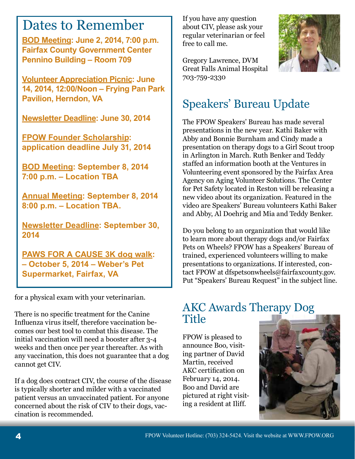## Dates to Remember

**BOD Meeting: June 2, 2014, 7:00 p.m. Fairfax County Government Center Pennino Building – Room 709**

**Volunteer Appreciation Picnic: June 14, 2014, 12:00/Noon – Frying Pan Park Pavilion, Herndon, VA**

**Newsletter Deadline: June 30, 2014**

**FPOW Founder Scholarship: application deadline July 31, 2014**

**BOD Meeting: September 8, 2014 7:00 p.m. – Location TBA**

**Annual Meeting: September 8, 2014 8:00 p.m. – Location TBA.**

**Newsletter Deadline: September 30, 2014**

**PAWS FOR A CAUSE 3K dog walk: – October 5, 2014 – Weber's Pet Supermarket, Fairfax, VA**

for a physical exam with your veterinarian.

There is no specific treatment for the Canine Influenza virus itself, therefore vaccination becomes our best tool to combat this disease. The initial vaccination will need a booster after 3-4 weeks and then once per year thereafter. As with any vaccination, this does not guarantee that a dog cannot get CIV.

If a dog does contract CIV, the course of the disease is typically shorter and milder with a vaccinated patient versus an unvaccinated patient. For anyone concerned about the risk of CIV to their dogs, vaccination is recommended.

If you have any question about CIV, please ask your regular veterinarian or feel free to call me.

Gregory Lawrence, DVM Great Falls Animal Hospital 703-759-2330



## Speakers' Bureau Update

The FPOW Speakers' Bureau has made several presentations in the new year. Kathi Baker with Abby and Bonnie Burnham and Cindy made a presentation on therapy dogs to a Girl Scout troop in Arlington in March. Ruth Benker and Teddy staffed an information booth at the Ventures in Volunteering event sponsored by the Fairfax Area Agency on Aging Volunteer Solutions. The Center for Pet Safety located in Reston will be releasing a new video about its organization. Featured in the video are Speakers' Bureau volunteers Kathi Baker and Abby, Al Doehrig and Mia and Teddy Benker.

Do you belong to an organization that would like to learn more about therapy dogs and/or Fairfax Pets on Wheels? FPOW has a Speakers' Bureau of trained, experienced volunteers willing to make presentations to organizations. If interested, contact FPOW at dfspetsonwheels@fairfaxcounty.gov. Put "Speakers' Bureau Request" in the subject line.

### AKC Awards Therapy Dog **Title**

FPOW is pleased to announce Boo, visiting partner of David Martin, received AKC certification on February 14, 2014. Boo and David are pictured at right visiting a resident at Iliff.

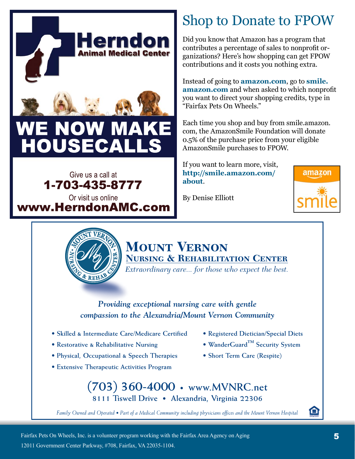



# Shop to Donate to FPOW

Did you know that Amazon has a program that contributes a percentage of sales to nonprofit organizations? Here's how shopping can get FPOW contributions and it costs you nothing extra.

Instead of going to **amazon.com**, go to **smile. amazon.com** and when asked to which nonprofit you want to direct your shopping credits, type in "Fairfax Pets On Wheels."

Each time you shop and buy from smile.amazon. com, the AmazonSmile Foundation will donate 0.5% of the purchase price from your eligible AmazonSmile purchases to FPOW.

If you want to learn more, visit, **http://smile.amazon.com/ about**.

amazon



### **Mount Vernon Nursing & Rehabilitation Center**

By Denise Elliott

*Extraordinary care... for those who expect the best.*

#### *Providing exceptional nursing care with gentle compassion to the Alexandria/Mount Vernon Community*

- **Skilled & Intermediate Care/Medicare Certified**
- **Restorative & Rehabilitative Nursing**
- **Physical, Occupational & Speech Therapies**
- **Extensive Therapeutic Activities Program**
- **Registered Dietician/Special Diets**
- **WanderGuard™ Security System**
- **Short Term Care (Respite)**

**(703) 360-4000 • www.MVNRC.net 8111 Tiswell Drive • Alexandria, Virginia 22306**

*Family Owned and Operated • Part of a Medical Community including physicians offices and the Mount Vernon Hospital*

⋒